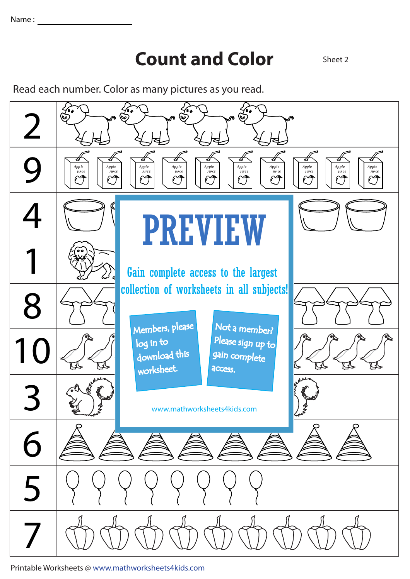## **Count and Color** Sheet 2

Read each number. Color as many pictures as you read.